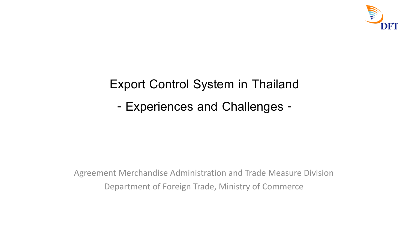

## **Export Control System in Thailand**

**- Experiences and Challenges -**

Agreement Merchandise Administration and Trade Measure Division Department of Foreign Trade, Ministry of Commerce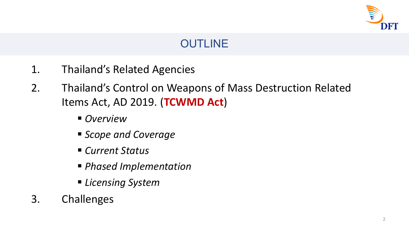

#### **OUTLINE**

- 1. Thailand's Related Agencies
- 2. Thailand's Control on Weapons of Mass Destruction Related Items Act, AD 2019. (**TCWMD Act**)
	- *Overview*
	- *Scope and Coverage*
	- *Current Status*
	- *Phased Implementation*
	- *Licensing System*
- 3. Challenges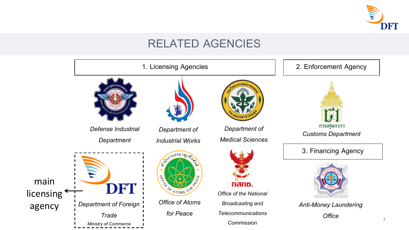

#### **RELATED AGENCIES**

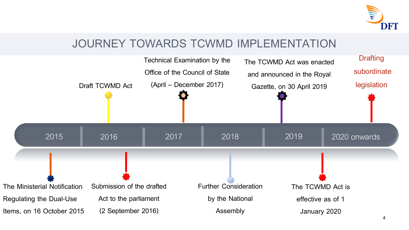

#### **JOURNEY TOWARDS TCWMD IMPLEMENTATION**

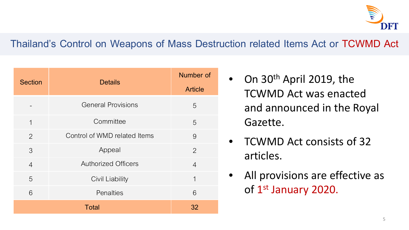

#### **Thailand's Control on Weapons of Mass Destruction related Items Act or TCWMD Act**

| <b>Section</b> | <b>Details</b>               | Number of<br><b>Article</b> |
|----------------|------------------------------|-----------------------------|
|                | <b>General Provisions</b>    | 5                           |
| $\mathbf 1$    | Committee                    | 5                           |
| 2              | Control of WMD related Items | 9                           |
| 3              | Appeal                       | $\overline{2}$              |
| $\overline{4}$ | <b>Authorized Officers</b>   | $\overline{4}$              |
| 5              | <b>Civil Liability</b>       | 1                           |
| 6              | Penalties                    | 6                           |
| <b>Total</b>   |                              | 32                          |

- On 30<sup>th</sup> April 2019, the TCWMD Act was enacted and announced in the Royal Gazette.
- TCWMD Act consists of 32 articles.
- All provisions are effective as of 1st January 2020.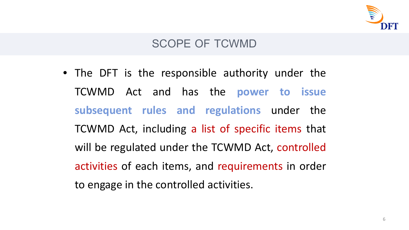

#### **SCOPE OF TCWMD**

• The DFT is the responsible authority under the TCWMD Act and has the **power to issue subsequent rules and regulations** under the TCWMD Act, including a list of specific items that will be regulated under the TCWMD Act, controlled activities of each items, and requirements in order to engage in the controlled activities.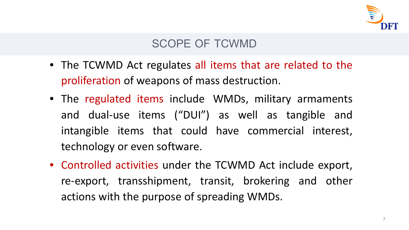

#### **SCOPE OF TCWMD**

- The TCWMD Act regulates all items that are related to the proliferation of weapons of mass destruction.
- The regulated items include WMDs, military armaments and dual-use items ("DUI") as well as tangible and intangible items that could have commercial interest, technology or even software.
- Controlled activities under the TCWMD Act include export, re-export, transshipment, transit, brokering and other actions with the purpose of spreading WMDs.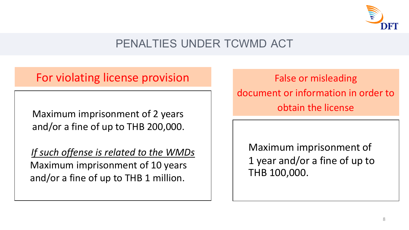

### **PENALTIES UNDER TCWMD ACT**

#### For violating license provision False or misleading

Maximum imprisonment of 2 years and/or a fine of up to THB 200,000.

 *If such offense is related to the WMDs* Maximum imprisonment of 10 years and/or a fine of up to THB 1 million.

document or information in order to obtain the license

Maximum imprisonment of 1 year and/or a fine of up to THB 100,000.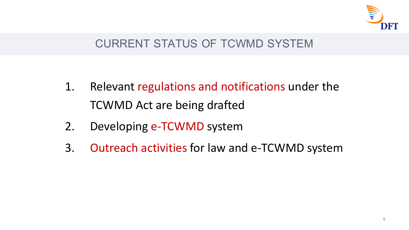

#### **CURRENT STATUS OF TCWMD SYSTEM**

- 1. Relevant regulations and notifications under the TCWMD Act are being drafted
- 2. Developing e-TCWMD system
- 3. Outreach activities for law and e-TCWMD system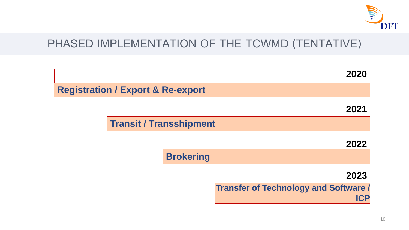

#### **PHASED IMPLEMENTATION OF THE TCWMD (TENTATIVE)**

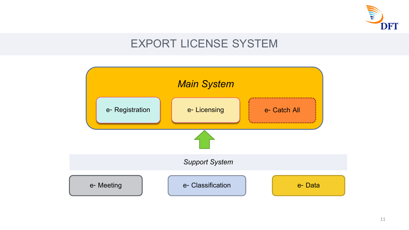

#### **EXPORT LICENSE SYSTEM**

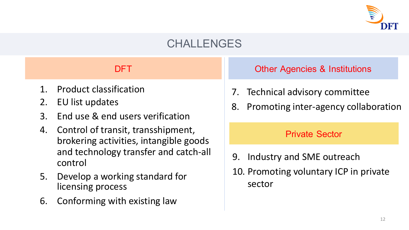

#### **CHALLENGES**

- 1. Product classification
- 2. EU list updates
- 3. End use & end users verification
- 4. Control of transit, transshipment, brokering activities, intangible goods and technology transfer and catch-all control
- 5. Develop a working standard for licensing process
- 6. Conforming with existing law

**DFT Other Agencies & Institutions** 

- 7. Technical advisory committee
- 8. Promoting inter-agency collaboration

#### **Private Sector**

- 9. Industry and SME outreach
- 10. Promoting voluntary ICP in private sector